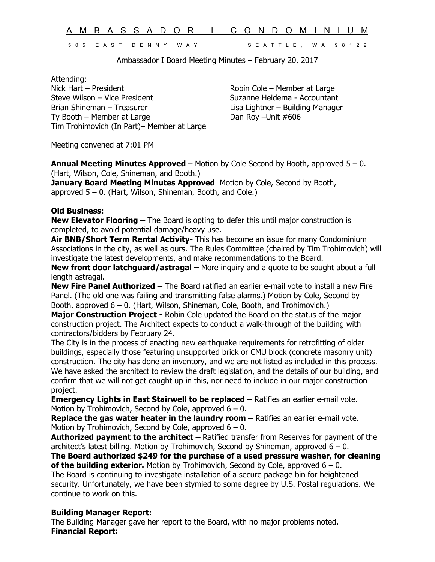A M B A S S A D O R I C O N D O M I N I U M 5 0 5 E A S T D E N N Y W A Y S E A T T L E , W A 9 8 1 2 2

Ambassador I Board Meeting Minutes – February 20, 2017

Attending: Nick Hart – President The Cole – Member at Large Robin Cole – Member at Large Steve Wilson – Vice President Suzanne Heidema - Accountant Brian Shineman – Treasurer Lisa Lightner – Building Manager Ty Booth – Member at Large Dan Roy – Unit #606 Tim Trohimovich (In Part)– Member at Large

Meeting convened at 7:01 PM

**Annual Meeting Minutes Approved** – Motion by Cole Second by Booth, approved 5 – 0. (Hart, Wilson, Cole, Shineman, and Booth.)

**January Board Meeting Minutes Approved** Motion by Cole, Second by Booth, approved  $5 - 0$ . (Hart, Wilson, Shineman, Booth, and Cole.)

## **Old Business:**

**New Elevator Flooring –** The Board is opting to defer this until major construction is completed, to avoid potential damage/heavy use.

**Air BNB/Short Term Rental Activity-** This has become an issue for many Condominium Associations in the city, as well as ours. The Rules Committee (chaired by Tim Trohimovich) will investigate the latest developments, and make recommendations to the Board.

**New front door latchguard/astragal –** More inquiry and a quote to be sought about a full length astragal.

**New Fire Panel Authorized –** The Board ratified an earlier e-mail vote to install a new Fire Panel. (The old one was failing and transmitting false alarms.) Motion by Cole, Second by Booth, approved 6 – 0. (Hart, Wilson, Shineman, Cole, Booth, and Trohimovich.)

**Major Construction Project -** Robin Cole updated the Board on the status of the major construction project. The Architect expects to conduct a walk-through of the building with contractors/bidders by February 24.

The City is in the process of enacting new earthquake requirements for retrofitting of older buildings, especially those featuring unsupported brick or CMU block (concrete masonry unit) construction. The city has done an inventory, and we are not listed as included in this process. We have asked the architect to review the draft legislation, and the details of our building, and confirm that we will not get caught up in this, nor need to include in our major construction project.

**Emergency Lights in East Stairwell to be replaced – Ratifies an earlier e-mail vote.** Motion by Trohimovich, Second by Cole, approved  $6 - 0$ .

**Replace the gas water heater in the laundry room - Ratifies an earlier e-mail vote.** Motion by Trohimovich, Second by Cole, approved  $6 - 0$ .

**Authorized payment to the architect –** Ratified transfer from Reserves for payment of the architect's latest billing. Motion by Trohimovich, Second by Shineman, approved  $6 - 0$ .

**The Board authorized \$249 for the purchase of a used pressure washer, for cleaning of the building exterior.** Motion by Trohimovich, Second by Cole, approved 6 – 0. The Board is continuing to investigate installation of a secure package bin for heightened

security. Unfortunately, we have been stymied to some degree by U.S. Postal regulations. We continue to work on this.

## **Building Manager Report:**

The Building Manager gave her report to the Board, with no major problems noted. **Financial Report:**